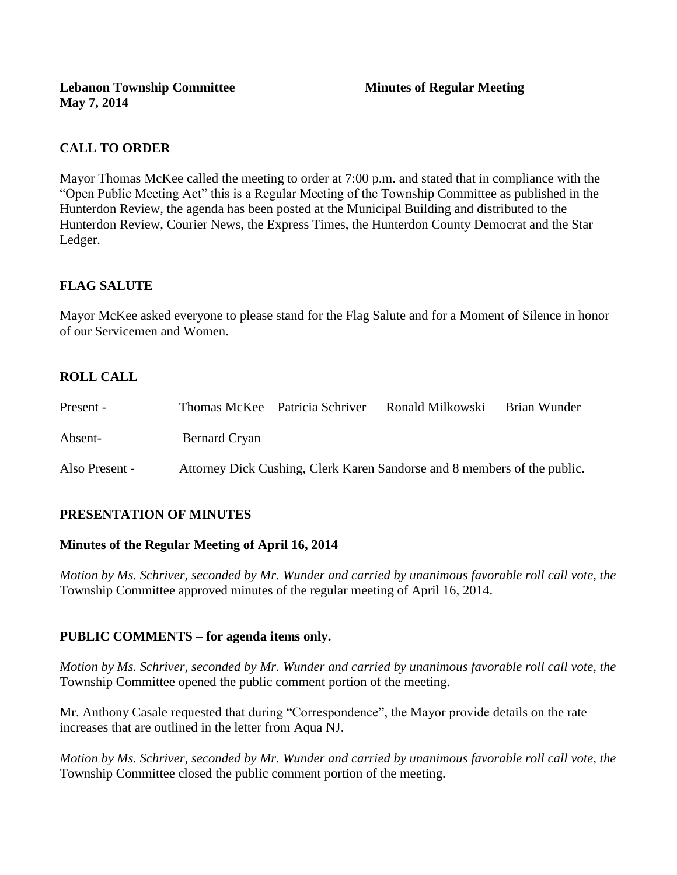# **CALL TO ORDER**

Mayor Thomas McKee called the meeting to order at 7:00 p.m. and stated that in compliance with the "Open Public Meeting Act" this is a Regular Meeting of the Township Committee as published in the Hunterdon Review, the agenda has been posted at the Municipal Building and distributed to the Hunterdon Review, Courier News, the Express Times, the Hunterdon County Democrat and the Star Ledger.

# **FLAG SALUTE**

Mayor McKee asked everyone to please stand for the Flag Salute and for a Moment of Silence in honor of our Servicemen and Women.

# **ROLL CALL**

| Present -      |               | Thomas McKee Patricia Schriver | Ronald Milkowski                                                         | Brian Wunder |
|----------------|---------------|--------------------------------|--------------------------------------------------------------------------|--------------|
| Absent-        | Bernard Cryan |                                |                                                                          |              |
| Also Present - |               |                                | Attorney Dick Cushing, Clerk Karen Sandorse and 8 members of the public. |              |

## **PRESENTATION OF MINUTES**

#### **Minutes of the Regular Meeting of April 16, 2014**

*Motion by Ms. Schriver, seconded by Mr. Wunder and carried by unanimous favorable roll call vote, the*  Township Committee approved minutes of the regular meeting of April 16, 2014.

## **PUBLIC COMMENTS – for agenda items only.**

*Motion by Ms. Schriver, seconded by Mr. Wunder and carried by unanimous favorable roll call vote, the* Township Committee opened the public comment portion of the meeting.

Mr. Anthony Casale requested that during "Correspondence", the Mayor provide details on the rate increases that are outlined in the letter from Aqua NJ.

*Motion by Ms. Schriver, seconded by Mr. Wunder and carried by unanimous favorable roll call vote, the* Township Committee closed the public comment portion of the meeting.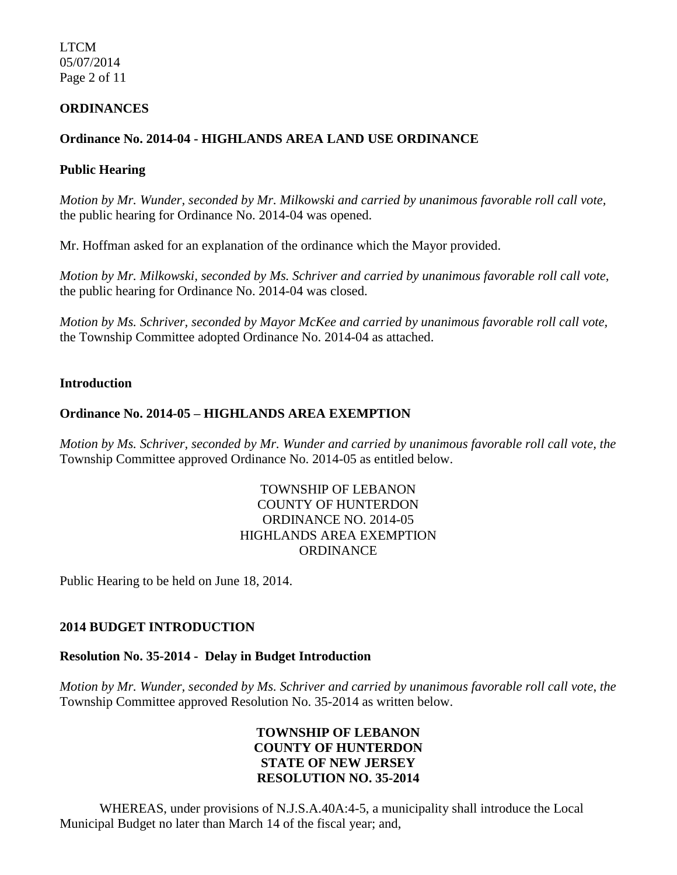LTCM 05/07/2014 Page 2 of 11

#### **ORDINANCES**

## **Ordinance No. 2014-04 - HIGHLANDS AREA LAND USE ORDINANCE**

### **Public Hearing**

*Motion by Mr. Wunder, seconded by Mr. Milkowski and carried by unanimous favorable roll call vote,* the public hearing for Ordinance No. 2014-04 was opened.

Mr. Hoffman asked for an explanation of the ordinance which the Mayor provided.

*Motion by Mr. Milkowski, seconded by Ms. Schriver and carried by unanimous favorable roll call vote,* the public hearing for Ordinance No. 2014-04 was closed.

*Motion by Ms. Schriver, seconded by Mayor McKee and carried by unanimous favorable roll call vote,* the Township Committee adopted Ordinance No. 2014-04 as attached.

#### **Introduction**

### **Ordinance No. 2014-05** *–* **HIGHLANDS AREA EXEMPTION**

*Motion by Ms. Schriver, seconded by Mr. Wunder and carried by unanimous favorable roll call vote, the* Township Committee approved Ordinance No. 2014-05 as entitled below.

## TOWNSHIP OF LEBANON COUNTY OF HUNTERDON ORDINANCE NO. 2014-05 HIGHLANDS AREA EXEMPTION **ORDINANCE**

Public Hearing to be held on June 18, 2014.

#### **2014 BUDGET INTRODUCTION**

#### **Resolution No. 35-2014 - Delay in Budget Introduction**

*Motion by Mr. Wunder, seconded by Ms. Schriver and carried by unanimous favorable roll call vote*, *the* Township Committee approved Resolution No. 35-2014 as written below.

## **TOWNSHIP OF LEBANON COUNTY OF HUNTERDON STATE OF NEW JERSEY RESOLUTION NO. 35-2014**

 WHEREAS, under provisions of N.J.S.A.40A:4-5, a municipality shall introduce the Local Municipal Budget no later than March 14 of the fiscal year; and,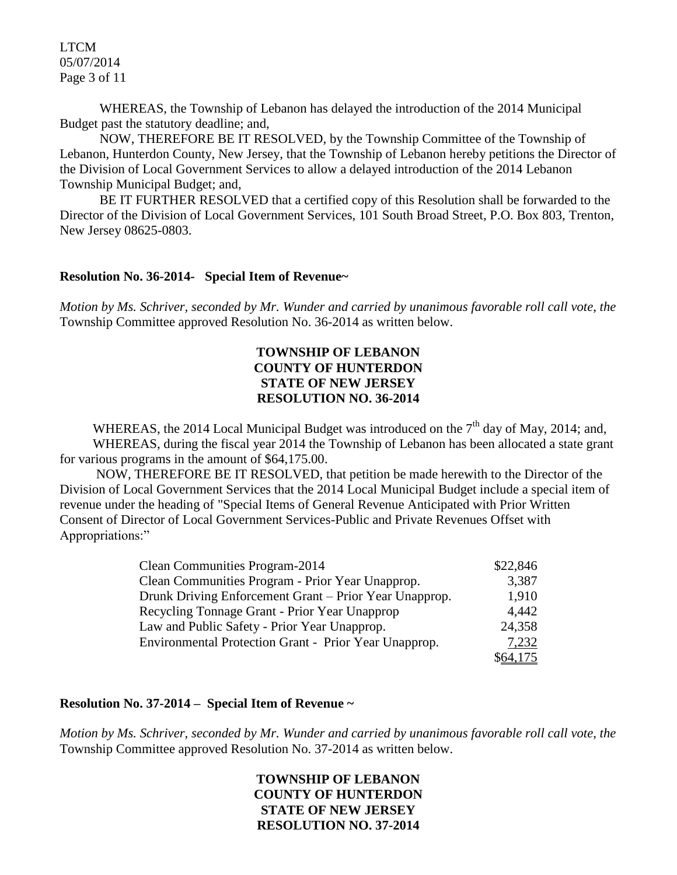LTCM 05/07/2014 Page 3 of 11

 WHEREAS, the Township of Lebanon has delayed the introduction of the 2014 Municipal Budget past the statutory deadline; and,

 NOW, THEREFORE BE IT RESOLVED, by the Township Committee of the Township of Lebanon, Hunterdon County, New Jersey, that the Township of Lebanon hereby petitions the Director of the Division of Local Government Services to allow a delayed introduction of the 2014 Lebanon Township Municipal Budget; and,

 BE IT FURTHER RESOLVED that a certified copy of this Resolution shall be forwarded to the Director of the Division of Local Government Services, 101 South Broad Street, P.O. Box 803, Trenton, New Jersey 08625-0803.

#### **Resolution No. 36-2014- Special Item of Revenue~**

*Motion by Ms. Schriver, seconded by Mr. Wunder and carried by unanimous favorable roll call vote*, *the* Township Committee approved Resolution No. 36-2014 as written below.

### **TOWNSHIP OF LEBANON COUNTY OF HUNTERDON STATE OF NEW JERSEY RESOLUTION NO. 36-2014**

WHEREAS, the 2014 Local Municipal Budget was introduced on the  $7<sup>th</sup>$  day of May, 2014; and, WHEREAS, during the fiscal year 2014 the Township of Lebanon has been allocated a state grant for various programs in the amount of \$64,175.00.

 NOW, THEREFORE BE IT RESOLVED, that petition be made herewith to the Director of the Division of Local Government Services that the 2014 Local Municipal Budget include a special item of revenue under the heading of "Special Items of General Revenue Anticipated with Prior Written Consent of Director of Local Government Services-Public and Private Revenues Offset with Appropriations:"

| Clean Communities Program-2014                         | \$22,846 |
|--------------------------------------------------------|----------|
| Clean Communities Program - Prior Year Unapprop.       | 3,387    |
| Drunk Driving Enforcement Grant – Prior Year Unapprop. | 1,910    |
| Recycling Tonnage Grant - Prior Year Unapprop          | 4,442    |
| Law and Public Safety - Prior Year Unapprop.           | 24,358   |
| Environmental Protection Grant - Prior Year Unapprop.  | 7,232    |
|                                                        | \$64,175 |

#### **Resolution No. 37-2014 – Special Item of Revenue ~**

*Motion by Ms. Schriver, seconded by Mr. Wunder and carried by unanimous favorable roll call vote*, *the* Township Committee approved Resolution No. 37-2014 as written below.

## **TOWNSHIP OF LEBANON COUNTY OF HUNTERDON STATE OF NEW JERSEY RESOLUTION NO. 37-2014**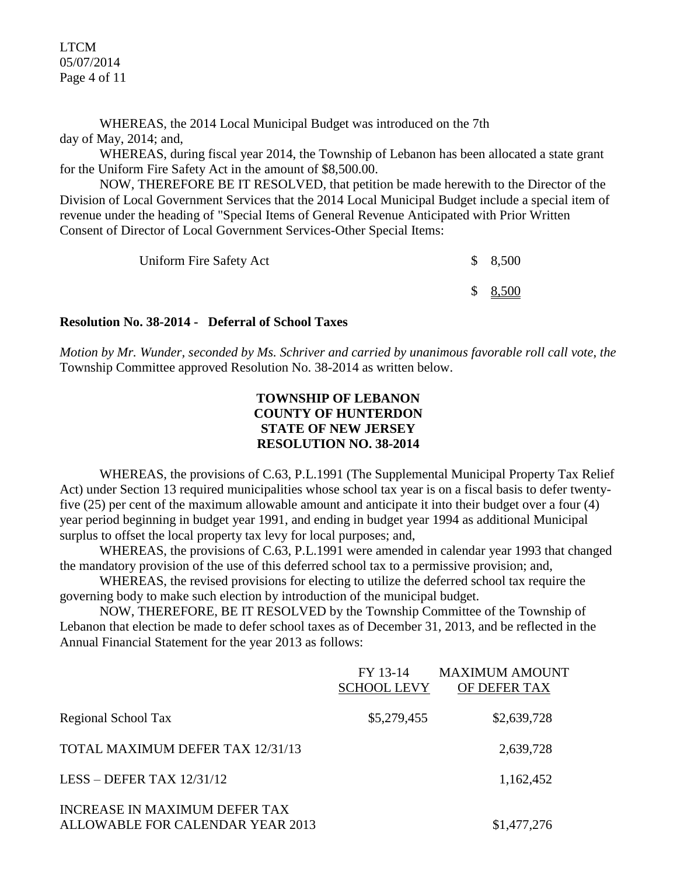LTCM 05/07/2014 Page 4 of 11

 WHEREAS, the 2014 Local Municipal Budget was introduced on the 7th day of May, 2014; and,

WHEREAS, during fiscal year 2014, the Township of Lebanon has been allocated a state grant for the Uniform Fire Safety Act in the amount of \$8,500.00.

 NOW, THEREFORE BE IT RESOLVED, that petition be made herewith to the Director of the Division of Local Government Services that the 2014 Local Municipal Budget include a special item of revenue under the heading of "Special Items of General Revenue Anticipated with Prior Written Consent of Director of Local Government Services-Other Special Items:

| Uniform Fire Safety Act | \$8,500             |
|-------------------------|---------------------|
|                         | $$ \frac{8,500}{ }$ |

#### **Resolution No. 38-2014 - Deferral of School Taxes**

*Motion by Mr. Wunder, seconded by Ms. Schriver and carried by unanimous favorable roll call vote*, *the* Township Committee approved Resolution No. 38-2014 as written below.

## **TOWNSHIP OF LEBANON COUNTY OF HUNTERDON STATE OF NEW JERSEY RESOLUTION NO. 38-2014**

WHEREAS, the provisions of C.63, P.L.1991 (The Supplemental Municipal Property Tax Relief Act) under Section 13 required municipalities whose school tax year is on a fiscal basis to defer twentyfive (25) per cent of the maximum allowable amount and anticipate it into their budget over a four (4) year period beginning in budget year 1991, and ending in budget year 1994 as additional Municipal surplus to offset the local property tax levy for local purposes; and,

WHEREAS, the provisions of C.63, P.L.1991 were amended in calendar year 1993 that changed the mandatory provision of the use of this deferred school tax to a permissive provision; and,

 WHEREAS, the revised provisions for electing to utilize the deferred school tax require the governing body to make such election by introduction of the municipal budget.

NOW, THEREFORE, BE IT RESOLVED by the Township Committee of the Township of Lebanon that election be made to defer school taxes as of December 31, 2013, and be reflected in the Annual Financial Statement for the year 2013 as follows:

|                                                                   | FY 13-14<br><b>SCHOOL LEVY</b> | <b>MAXIMUM AMOUNT</b><br>OF DEFER TAX |
|-------------------------------------------------------------------|--------------------------------|---------------------------------------|
| Regional School Tax                                               | \$5,279,455                    | \$2,639,728                           |
| TOTAL MAXIMUM DEFER TAX 12/31/13                                  |                                | 2,639,728                             |
| LESS – DEFER TAX $12/31/12$                                       |                                | 1,162,452                             |
| INCREASE IN MAXIMUM DEFER TAX<br>ALLOWABLE FOR CALENDAR YEAR 2013 |                                | \$1,477,276                           |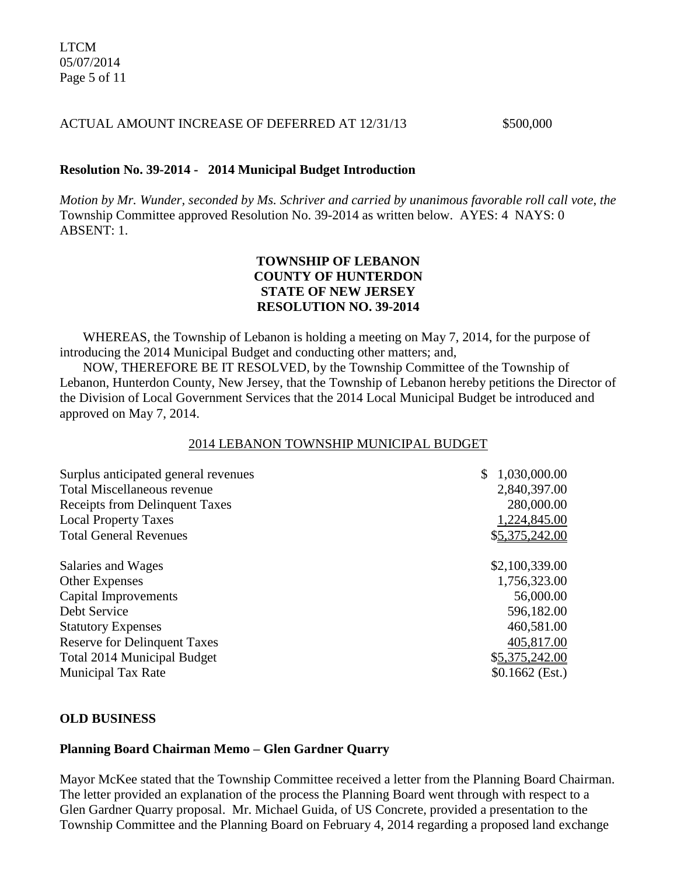#### ACTUAL AMOUNT INCREASE OF DEFERRED AT 12/31/13 \$500,000

### **Resolution No. 39-2014 - 2014 Municipal Budget Introduction**

*Motion by Mr. Wunder, seconded by Ms. Schriver and carried by unanimous favorable roll call vote*, *the* Township Committee approved Resolution No. 39-2014 as written below. AYES: 4 NAYS: 0 ABSENT: 1.

## **TOWNSHIP OF LEBANON COUNTY OF HUNTERDON STATE OF NEW JERSEY RESOLUTION NO. 39-2014**

WHEREAS, the Township of Lebanon is holding a meeting on May 7, 2014, for the purpose of introducing the 2014 Municipal Budget and conducting other matters; and,

 NOW, THEREFORE BE IT RESOLVED, by the Township Committee of the Township of Lebanon, Hunterdon County, New Jersey, that the Township of Lebanon hereby petitions the Director of the Division of Local Government Services that the 2014 Local Municipal Budget be introduced and approved on May 7, 2014.

#### 2014 LEBANON TOWNSHIP MUNICIPAL BUDGET

| 1,030,000.00<br>\$ |  |
|--------------------|--|
| 2,840,397.00       |  |
| 280,000.00         |  |
| 1,224,845.00       |  |
| \$5,375,242.00     |  |
| \$2,100,339.00     |  |
| 1,756,323.00       |  |
| 56,000.00          |  |
| 596,182.00         |  |
| 460,581.00         |  |
| 405,817.00         |  |
| \$5,375,242.00     |  |
| $$0.1662$ (Est.)   |  |
|                    |  |

#### **OLD BUSINESS**

#### **Planning Board Chairman Memo – Glen Gardner Quarry**

Mayor McKee stated that the Township Committee received a letter from the Planning Board Chairman. The letter provided an explanation of the process the Planning Board went through with respect to a Glen Gardner Quarry proposal. Mr. Michael Guida, of US Concrete, provided a presentation to the Township Committee and the Planning Board on February 4, 2014 regarding a proposed land exchange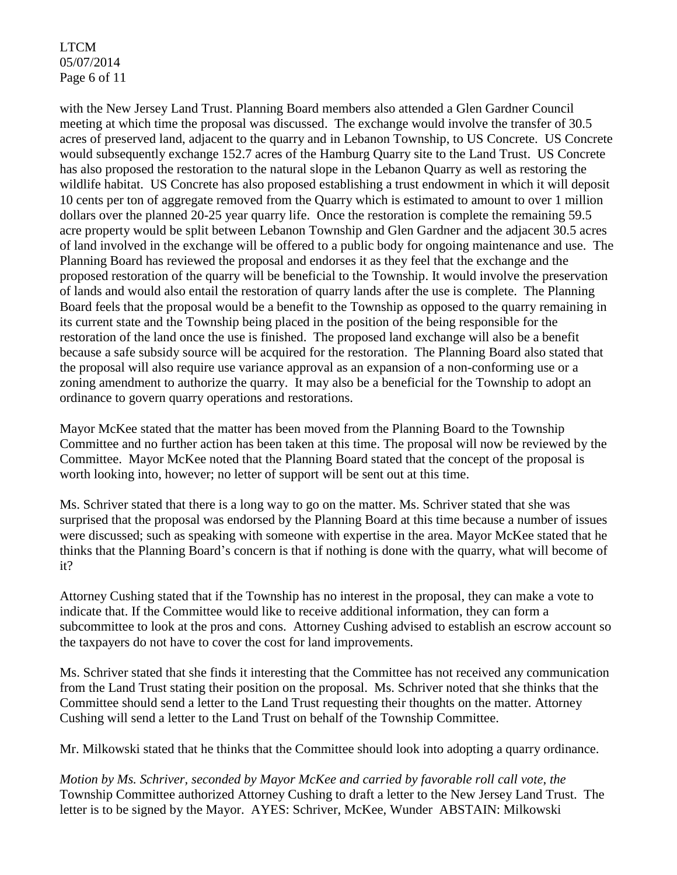LTCM 05/07/2014 Page 6 of 11

with the New Jersey Land Trust. Planning Board members also attended a Glen Gardner Council meeting at which time the proposal was discussed. The exchange would involve the transfer of 30.5 acres of preserved land, adjacent to the quarry and in Lebanon Township, to US Concrete. US Concrete would subsequently exchange 152.7 acres of the Hamburg Quarry site to the Land Trust. US Concrete has also proposed the restoration to the natural slope in the Lebanon Quarry as well as restoring the wildlife habitat. US Concrete has also proposed establishing a trust endowment in which it will deposit 10 cents per ton of aggregate removed from the Quarry which is estimated to amount to over 1 million dollars over the planned 20-25 year quarry life. Once the restoration is complete the remaining 59.5 acre property would be split between Lebanon Township and Glen Gardner and the adjacent 30.5 acres of land involved in the exchange will be offered to a public body for ongoing maintenance and use. The Planning Board has reviewed the proposal and endorses it as they feel that the exchange and the proposed restoration of the quarry will be beneficial to the Township. It would involve the preservation of lands and would also entail the restoration of quarry lands after the use is complete. The Planning Board feels that the proposal would be a benefit to the Township as opposed to the quarry remaining in its current state and the Township being placed in the position of the being responsible for the restoration of the land once the use is finished. The proposed land exchange will also be a benefit because a safe subsidy source will be acquired for the restoration. The Planning Board also stated that the proposal will also require use variance approval as an expansion of a non-conforming use or a zoning amendment to authorize the quarry. It may also be a beneficial for the Township to adopt an ordinance to govern quarry operations and restorations.

Mayor McKee stated that the matter has been moved from the Planning Board to the Township Committee and no further action has been taken at this time. The proposal will now be reviewed by the Committee. Mayor McKee noted that the Planning Board stated that the concept of the proposal is worth looking into, however; no letter of support will be sent out at this time.

Ms. Schriver stated that there is a long way to go on the matter. Ms. Schriver stated that she was surprised that the proposal was endorsed by the Planning Board at this time because a number of issues were discussed; such as speaking with someone with expertise in the area. Mayor McKee stated that he thinks that the Planning Board's concern is that if nothing is done with the quarry, what will become of it?

Attorney Cushing stated that if the Township has no interest in the proposal, they can make a vote to indicate that. If the Committee would like to receive additional information, they can form a subcommittee to look at the pros and cons. Attorney Cushing advised to establish an escrow account so the taxpayers do not have to cover the cost for land improvements.

Ms. Schriver stated that she finds it interesting that the Committee has not received any communication from the Land Trust stating their position on the proposal. Ms. Schriver noted that she thinks that the Committee should send a letter to the Land Trust requesting their thoughts on the matter. Attorney Cushing will send a letter to the Land Trust on behalf of the Township Committee.

Mr. Milkowski stated that he thinks that the Committee should look into adopting a quarry ordinance.

*Motion by Ms. Schriver, seconded by Mayor McKee and carried by favorable roll call vote*, *the* Township Committee authorized Attorney Cushing to draft a letter to the New Jersey Land Trust. The letter is to be signed by the Mayor. AYES: Schriver, McKee, Wunder ABSTAIN: Milkowski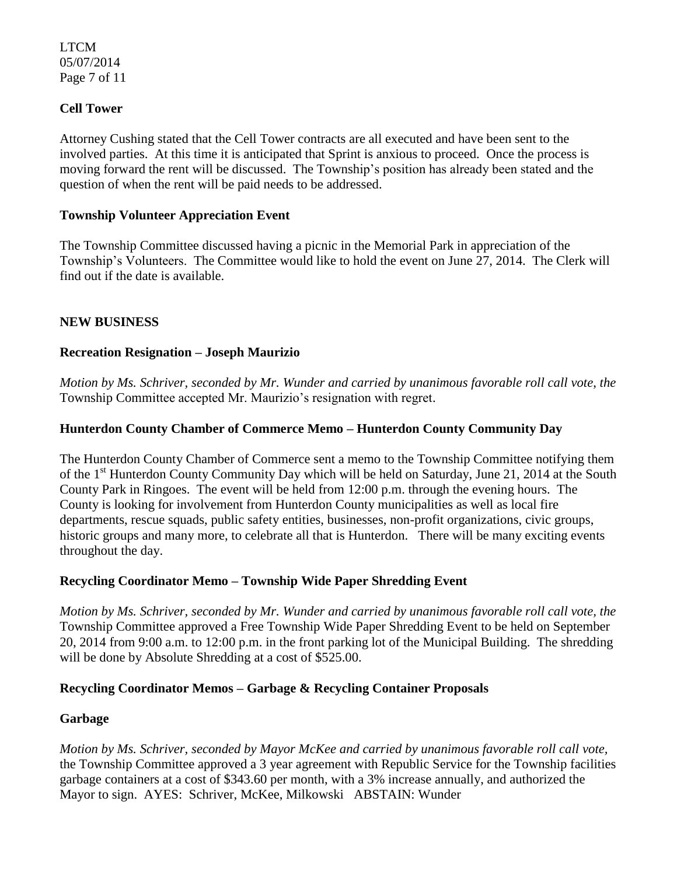LTCM 05/07/2014 Page 7 of 11

## **Cell Tower**

Attorney Cushing stated that the Cell Tower contracts are all executed and have been sent to the involved parties. At this time it is anticipated that Sprint is anxious to proceed. Once the process is moving forward the rent will be discussed. The Township's position has already been stated and the question of when the rent will be paid needs to be addressed.

### **Township Volunteer Appreciation Event**

The Township Committee discussed having a picnic in the Memorial Park in appreciation of the Township's Volunteers. The Committee would like to hold the event on June 27, 2014. The Clerk will find out if the date is available.

## **NEW BUSINESS**

### **Recreation Resignation – Joseph Maurizio**

*Motion by Ms. Schriver, seconded by Mr. Wunder and carried by unanimous favorable roll call vote*, *the* Township Committee accepted Mr. Maurizio's resignation with regret.

### **Hunterdon County Chamber of Commerce Memo – Hunterdon County Community Day**

The Hunterdon County Chamber of Commerce sent a memo to the Township Committee notifying them of the 1<sup>st</sup> Hunterdon County Community Day which will be held on Saturday, June 21, 2014 at the South County Park in Ringoes. The event will be held from 12:00 p.m. through the evening hours. The County is looking for involvement from Hunterdon County municipalities as well as local fire departments, rescue squads, public safety entities, businesses, non-profit organizations, civic groups, historic groups and many more, to celebrate all that is Hunterdon. There will be many exciting events throughout the day.

#### **Recycling Coordinator Memo – Township Wide Paper Shredding Event**

*Motion by Ms. Schriver, seconded by Mr. Wunder and carried by unanimous favorable roll call vote, the* Township Committee approved a Free Township Wide Paper Shredding Event to be held on September 20, 2014 from 9:00 a.m. to 12:00 p.m. in the front parking lot of the Municipal Building. The shredding will be done by Absolute Shredding at a cost of \$525.00.

## **Recycling Coordinator Memos – Garbage & Recycling Container Proposals**

#### **Garbage**

*Motion by Ms. Schriver, seconded by Mayor McKee and carried by unanimous favorable roll call vote,* the Township Committee approved a 3 year agreement with Republic Service for the Township facilities garbage containers at a cost of \$343.60 per month, with a 3% increase annually, and authorized the Mayor to sign. AYES: Schriver, McKee, Milkowski ABSTAIN: Wunder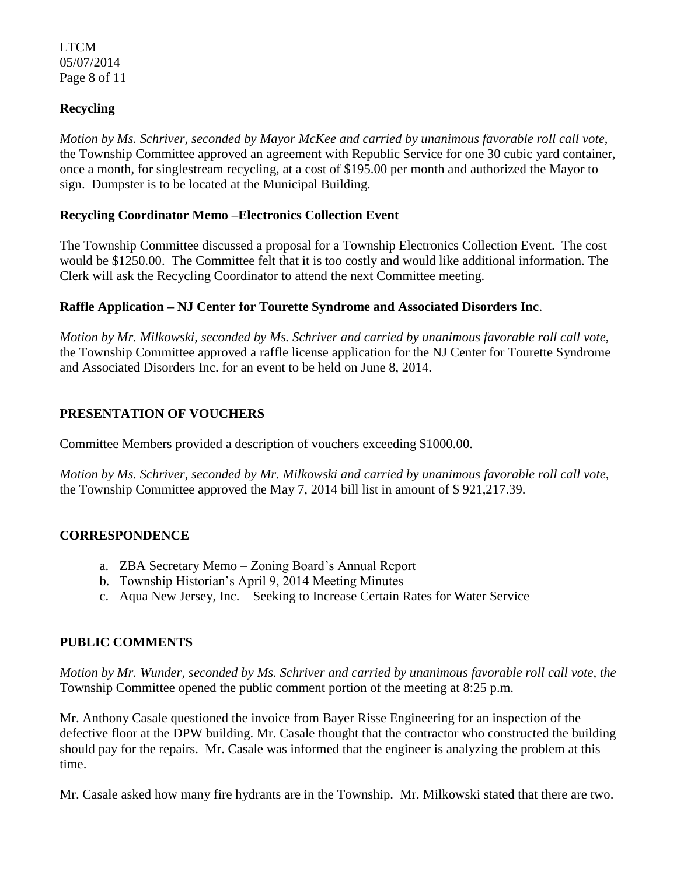LTCM 05/07/2014 Page 8 of 11

## **Recycling**

*Motion by Ms. Schriver, seconded by Mayor McKee and carried by unanimous favorable roll call vote*, the Township Committee approved an agreement with Republic Service for one 30 cubic yard container, once a month, for singlestream recycling, at a cost of \$195.00 per month and authorized the Mayor to sign. Dumpster is to be located at the Municipal Building.

### **Recycling Coordinator Memo –Electronics Collection Event**

The Township Committee discussed a proposal for a Township Electronics Collection Event. The cost would be \$1250.00. The Committee felt that it is too costly and would like additional information. The Clerk will ask the Recycling Coordinator to attend the next Committee meeting.

### **Raffle Application – NJ Center for Tourette Syndrome and Associated Disorders Inc**.

*Motion by Mr. Milkowski, seconded by Ms. Schriver and carried by unanimous favorable roll call vote*, the Township Committee approved a raffle license application for the NJ Center for Tourette Syndrome and Associated Disorders Inc. for an event to be held on June 8, 2014.

# **PRESENTATION OF VOUCHERS**

Committee Members provided a description of vouchers exceeding \$1000.00.

*Motion by Ms. Schriver, seconded by Mr. Milkowski and carried by unanimous favorable roll call vote,* the Township Committee approved the May 7, 2014 bill list in amount of \$ 921,217.39.

## **CORRESPONDENCE**

- a. ZBA Secretary Memo Zoning Board's Annual Report
- b. Township Historian's April 9, 2014 Meeting Minutes
- c. Aqua New Jersey, Inc. Seeking to Increase Certain Rates for Water Service

## **PUBLIC COMMENTS**

*Motion by Mr. Wunder, seconded by Ms. Schriver and carried by unanimous favorable roll call vote, the* Township Committee opened the public comment portion of the meeting at 8:25 p.m.

Mr. Anthony Casale questioned the invoice from Bayer Risse Engineering for an inspection of the defective floor at the DPW building. Mr. Casale thought that the contractor who constructed the building should pay for the repairs. Mr. Casale was informed that the engineer is analyzing the problem at this time.

Mr. Casale asked how many fire hydrants are in the Township. Mr. Milkowski stated that there are two.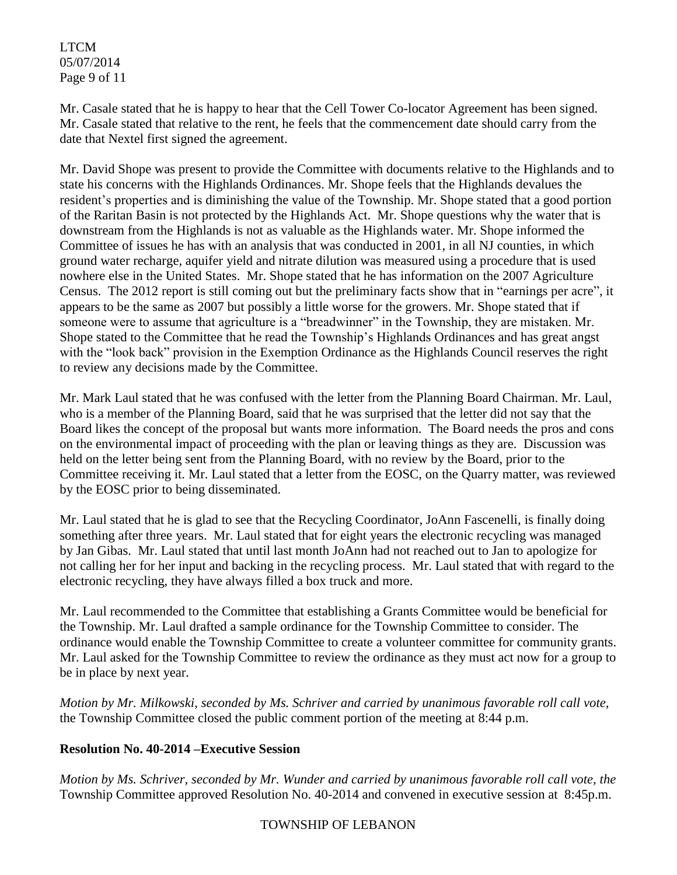LTCM 05/07/2014 Page 9 of 11

Mr. Casale stated that he is happy to hear that the Cell Tower Co-locator Agreement has been signed. Mr. Casale stated that relative to the rent, he feels that the commencement date should carry from the date that Nextel first signed the agreement.

Mr. David Shope was present to provide the Committee with documents relative to the Highlands and to state his concerns with the Highlands Ordinances. Mr. Shope feels that the Highlands devalues the resident's properties and is diminishing the value of the Township. Mr. Shope stated that a good portion of the Raritan Basin is not protected by the Highlands Act. Mr. Shope questions why the water that is downstream from the Highlands is not as valuable as the Highlands water. Mr. Shope informed the Committee of issues he has with an analysis that was conducted in 2001, in all NJ counties, in which ground water recharge, aquifer yield and nitrate dilution was measured using a procedure that is used nowhere else in the United States. Mr. Shope stated that he has information on the 2007 Agriculture Census. The 2012 report is still coming out but the preliminary facts show that in "earnings per acre", it appears to be the same as 2007 but possibly a little worse for the growers. Mr. Shope stated that if someone were to assume that agriculture is a "breadwinner" in the Township, they are mistaken. Mr. Shope stated to the Committee that he read the Township's Highlands Ordinances and has great angst with the "look back" provision in the Exemption Ordinance as the Highlands Council reserves the right to review any decisions made by the Committee.

Mr. Mark Laul stated that he was confused with the letter from the Planning Board Chairman. Mr. Laul, who is a member of the Planning Board, said that he was surprised that the letter did not say that the Board likes the concept of the proposal but wants more information. The Board needs the pros and cons on the environmental impact of proceeding with the plan or leaving things as they are. Discussion was held on the letter being sent from the Planning Board, with no review by the Board, prior to the Committee receiving it. Mr. Laul stated that a letter from the EOSC, on the Quarry matter, was reviewed by the EOSC prior to being disseminated.

Mr. Laul stated that he is glad to see that the Recycling Coordinator, JoAnn Fascenelli, is finally doing something after three years. Mr. Laul stated that for eight years the electronic recycling was managed by Jan Gibas. Mr. Laul stated that until last month JoAnn had not reached out to Jan to apologize for not calling her for her input and backing in the recycling process. Mr. Laul stated that with regard to the electronic recycling, they have always filled a box truck and more.

Mr. Laul recommended to the Committee that establishing a Grants Committee would be beneficial for the Township. Mr. Laul drafted a sample ordinance for the Township Committee to consider. The ordinance would enable the Township Committee to create a volunteer committee for community grants. Mr. Laul asked for the Township Committee to review the ordinance as they must act now for a group to be in place by next year.

*Motion by Mr. Milkowski, seconded by Ms. Schriver and carried by unanimous favorable roll call vote,* the Township Committee closed the public comment portion of the meeting at 8:44 p.m.

## **Resolution No. 40-2014 –Executive Session**

*Motion by Ms. Schriver, seconded by Mr. Wunder and carried by unanimous favorable roll call vote, the* Township Committee approved Resolution No. 40-2014 and convened in executive session at 8:45p.m.

## TOWNSHIP OF LEBANON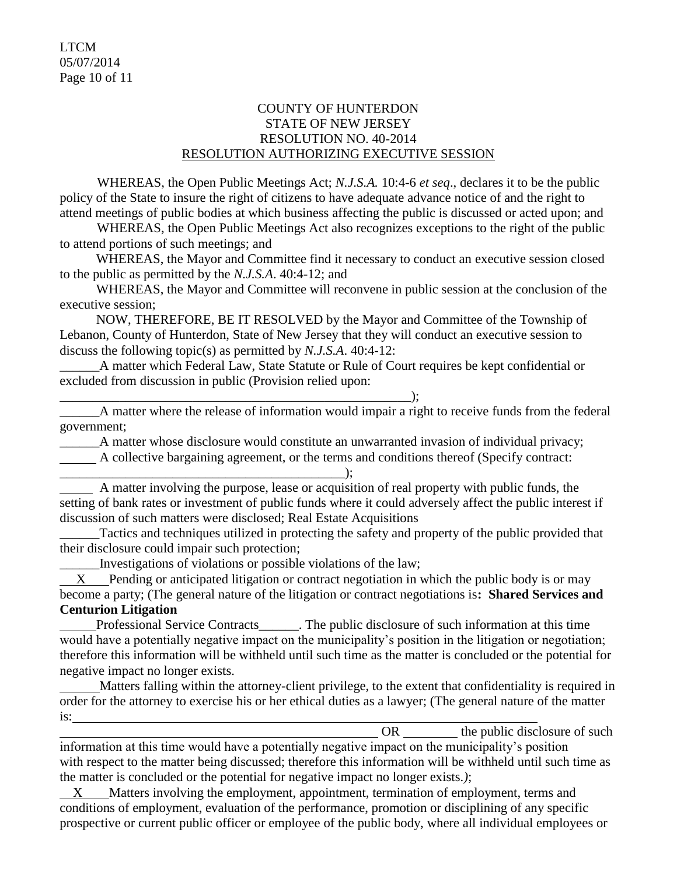### COUNTY OF HUNTERDON STATE OF NEW JERSEY RESOLUTION NO. 40-2014 RESOLUTION AUTHORIZING EXECUTIVE SESSION

WHEREAS, the Open Public Meetings Act; *N.J.S.A.* 10:4-6 *et seq*., declares it to be the public policy of the State to insure the right of citizens to have adequate advance notice of and the right to attend meetings of public bodies at which business affecting the public is discussed or acted upon; and

WHEREAS, the Open Public Meetings Act also recognizes exceptions to the right of the public to attend portions of such meetings; and

 WHEREAS, the Mayor and Committee find it necessary to conduct an executive session closed to the public as permitted by the *N.J.S.A*. 40:4-12; and

 WHEREAS, the Mayor and Committee will reconvene in public session at the conclusion of the executive session;

 NOW, THEREFORE, BE IT RESOLVED by the Mayor and Committee of the Township of Lebanon, County of Hunterdon, State of New Jersey that they will conduct an executive session to discuss the following topic(s) as permitted by *N.J.S.A*. 40:4-12:

\_\_\_\_\_\_A matter which Federal Law, State Statute or Rule of Court requires be kept confidential or excluded from discussion in public (Provision relied upon:

\_\_\_\_\_\_A matter where the release of information would impair a right to receive funds from the federal government;

\_\_\_\_\_\_A matter whose disclosure would constitute an unwarranted invasion of individual privacy;

A collective bargaining agreement, or the terms and conditions thereof (Specify contract:

 A matter involving the purpose, lease or acquisition of real property with public funds, the setting of bank rates or investment of public funds where it could adversely affect the public interest if discussion of such matters were disclosed; Real Estate Acquisitions

Tactics and techniques utilized in protecting the safety and property of the public provided that their disclosure could impair such protection;

\_\_\_\_\_\_Investigations of violations or possible violations of the law;

\_\_\_\_\_\_\_\_\_\_\_\_\_\_\_\_\_\_\_\_\_\_\_\_\_\_\_\_\_\_\_\_\_\_\_\_\_\_\_\_\_\_\_);

 X Pending or anticipated litigation or contract negotiation in which the public body is or may become a party; (The general nature of the litigation or contract negotiations is**: Shared Services and Centurion Litigation**

Professional Service Contracts\_\_\_\_\_\_. The public disclosure of such information at this time would have a potentially negative impact on the municipality's position in the litigation or negotiation; therefore this information will be withheld until such time as the matter is concluded or the potential for negative impact no longer exists.

 Matters falling within the attorney-client privilege, to the extent that confidentiality is required in order for the attorney to exercise his or her ethical duties as a lawyer; (The general nature of the matter is:

OR the public disclosure of such information at this time would have a potentially negative impact on the municipality's position with respect to the matter being discussed; therefore this information will be withheld until such time as the matter is concluded or the potential for negative impact no longer exists.*)*;

 $X$  Matters involving the employment, appointment, termination of employment, terms and conditions of employment, evaluation of the performance, promotion or disciplining of any specific prospective or current public officer or employee of the public body, where all individual employees or

 $\qquad \qquad ; \qquad$